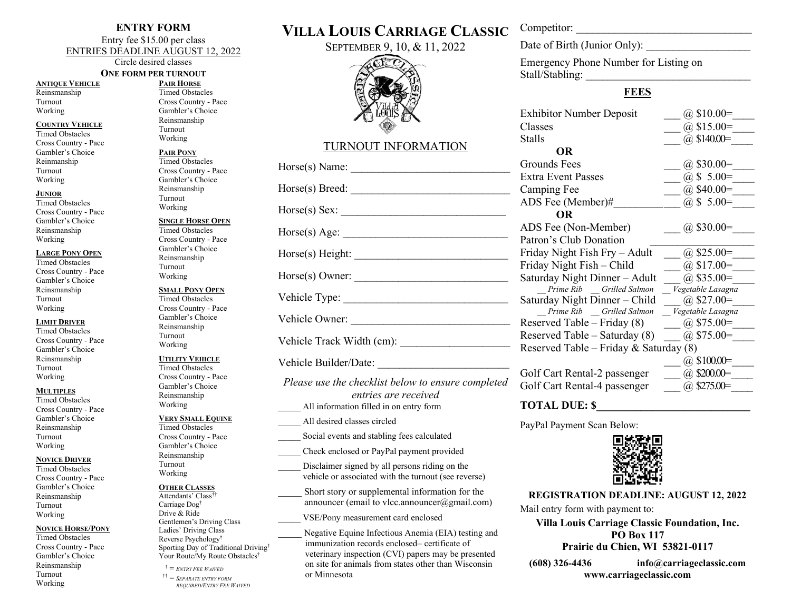## **ENTRY FORM**

Entry fee \$15.00 per class ENTRIES DEADLINE AUGUST 12, 2022

Circle desired classes

#### **ANTIQUE VEHICLE** Reinsmanship Turnout Working

## **COUNTRY VEHICLE**

Timed Obstacles Cross Country - Pace Gambler's Choice Reinmanship Turnout Working

#### **JUNIOR**

Timed Obstacles Cross Country - Pace Gambler's Choice Reinsmanship Working

#### **LARGE PONY OPEN**

Timed Obstacles Cross Country - Pace Gambler's Choice Reinsmanship Turnout Working

#### **LIMIT DRIVER**

Timed Obstacles Cross Country - Pace Gambler's Choice Reinsmanship Turnout Working

#### **MULTIPLES**

Timed Obstacles Cross Country - Pace Gambler's Choice Reinsmanship Turnout Working

#### **NOVICE DRIVER**

Timed Obstacles Cross Country - Pace Gambler's Choice Reinsmanship Turnout Working

#### **NOVICE HORSE/PONY**

Timed Obstacles Cross Country - Pace Gambler's Choice Reinsmanship Turnout Working

**ONE FORM PER TURNOUT PAIR HORSE** Timed Obstacles Cross Country - Pace Gambler's Choice Reinsmanship Turnout Working

# **PAIR PONY**

Timed Obstacles Cross Country - Pace Gambler's Choice Reinsmanship Turnout Working

## **SINGLE HORSE OPEN**

Timed Obstacles Cross Country - Pace Gambler's Choice Reinsmanship Turnout Working

## **SMALL PONY OPEN**

Timed Obstacles Cross Country - Pace Gambler's Choice Reinsmanship Turnout Working

### **UTILITY VEHICLE**

Timed Obstacles Cross Country - Pace Gambler's Choice Reinsmanship Working

## **VERY SMALL EQUINE**

Timed Obstacles Cross Country - Pace Gambler's Choice Reinsmanship Turnout Working

### **OTHER CLASSES**

Attendants' Class†† Carriage Dog† Drive & Ride Gentlemen's Driving Class Ladies' Driving Class Reverse Psychology† Sporting Day of Traditional Driving† Your Route/My Route Obstacles†

 $\mathcal{F} =$  *ENTRY FEE WAIVED*  †† = *SEPARATE ENTRY FORM REQUIRED/ENTRY FEE WAIVED*

# **VILLA LOUIS CARRIAGE CLASSIC**

SEPTEMBER 9, 10, & 11, 2022



# TURNOUT INFORMATION

*entries are received* All information filled in on entry form \_\_\_\_\_ All desired classes circled Social events and stabling fees calculated \_\_\_\_\_ Check enclosed or PayPal payment provided

Disclaimer signed by all persons riding on the vehicle or associated with the turnout (see reverse)

Short story or supplemental information for the announcer (email to vlcc.announcer $(\partial g$ mail.com)

\_\_\_\_\_ VSE/Pony measurement card enclosed

Negative Equine Infectious Anemia (EIA) testing and immunization records enclosed– certificate of veterinary inspection (CVI) papers may be presented on site for animals from states other than Wisconsin or Minnesota

Competitor:

Date of Birth (Junior Only):

Emergency Phone Number for Listing on Stall/Stabling:

# **FEES**

| <b>Exhibitor Number Deposit</b>                   | $@$ \$10.00=      |  |  |  |  |
|---------------------------------------------------|-------------------|--|--|--|--|
| Classes                                           | @ $$15.00=$       |  |  |  |  |
| <b>Stalls</b>                                     | $(a)$ \$140.00=   |  |  |  |  |
| OR                                                |                   |  |  |  |  |
| Grounds Fees                                      | $\omega$ \$30.00= |  |  |  |  |
| <b>Extra Event Passes</b>                         | @ $$ 5.00=$       |  |  |  |  |
| Camping Fee                                       | @ $$40.00=$       |  |  |  |  |
| ADS Fee (Member)#                                 | $(a)$ \$ 5.00=    |  |  |  |  |
| <b>OR</b>                                         |                   |  |  |  |  |
| ADS Fee (Non-Member)                              | $(a)$ \$30.00=    |  |  |  |  |
| Patron's Club Donation                            |                   |  |  |  |  |
| Friday Night Fish Fry – Adult                     | $(a)$ \$25.00=    |  |  |  |  |
| Friday Night Fish - Child                         | $(a)$ \$17.00=    |  |  |  |  |
| Saturday Night Dinner - Adult                     | $(a)$ \$35.00=    |  |  |  |  |
| Prime Rib Grilled Salmon                          | Vegetable Lasagna |  |  |  |  |
| Saturday Night Dinner – Child                     | $(a)$ \$27.00=    |  |  |  |  |
| Prime Rib Grilled Salmon                          | Vegetable Lasagna |  |  |  |  |
| Reserved Table – Friday $(8)$                     | $(a)$ \$75.00=    |  |  |  |  |
| $(a)$ \$75.00=<br>Reserved Table – Saturday $(8)$ |                   |  |  |  |  |
| Reserved Table – Friday & Saturday $(8)$          |                   |  |  |  |  |
|                                                   | $(a)$ \$100.00=   |  |  |  |  |
| Golf Cart Rental-2 passenger                      | $(a)$ \$200.00=   |  |  |  |  |
| Golf Cart Rental-4 passenger                      | $(a)$ \$275.00=   |  |  |  |  |

## **TOTAL DUE: \$\_\_\_\_\_\_\_\_\_\_\_\_\_\_\_\_\_\_\_\_\_\_\_\_\_\_\_\_**

PayPal Payment Scan Below:



**REGISTRATION DEADLINE: AUGUST 12, 2022** Mail entry form with payment to:

**Villa Louis Carriage Classic Foundation, Inc. PO Box 117 Prairie du Chien, WI 53821-0117**

**(608) 326-4436 [info@carriageclassic.com](mailto:info@carriageclassic.com) www.carriageclassic.com**